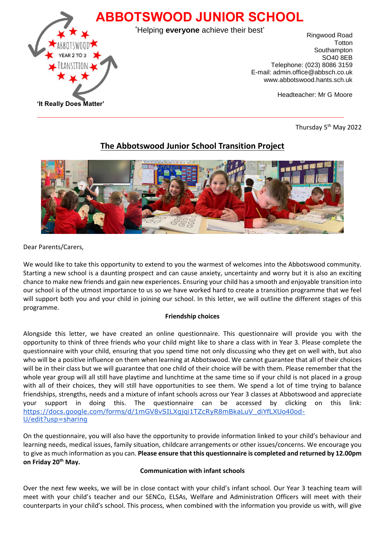

Thursday 5<sup>th</sup> May 2022

# **The Abbotswood Junior School Transition Project**



Dear Parents/Carers,

We would like to take this opportunity to extend to you the warmest of welcomes into the Abbotswood community. Starting a new school is a daunting prospect and can cause anxiety, uncertainty and worry but it is also an exciting chance to make new friends and gain new experiences. Ensuring your child has a smooth and enjoyable transition into our school is of the utmost importance to us so we have worked hard to create a transition programme that we feel will support both you and your child in joining our school. In this letter, we will outline the different stages of this programme.

## **Friendship choices**

Alongside this letter, we have created an online questionnaire. This questionnaire will provide you with the opportunity to think of three friends who your child might like to share a class with in Year 3. Please complete the questionnaire with your child, ensuring that you spend time not only discussing who they get on well with, but also who will be a positive influence on them when learning at Abbotswood. We cannot guarantee that all of their choices will be in their class but we will guarantee that one child of their choice will be with them. Please remember that the whole year group will all still have playtime and lunchtime at the same time so if your child is not placed in a group with all of their choices, they will still have opportunities to see them. We spend a lot of time trying to balance friendships, strengths, needs and a mixture of infant schools across our Year 3 classes at Abbotswood and appreciate your support in doing this. The questionnaire can be accessed by clicking on this link: [https://docs.google.com/forms/d/1mGV8vSILXgjqi1TZcRyR8mBkaLuV\\_diYfLXUo40od-](https://docs.google.com/forms/d/1mGV8vSILXgjqi1TZcRyR8mBkaLuV_diYfLXUo40od-U/edit?usp=sharing)[U/edit?usp=sharing](https://docs.google.com/forms/d/1mGV8vSILXgjqi1TZcRyR8mBkaLuV_diYfLXUo40od-U/edit?usp=sharing)

On the questionnaire, you will also have the opportunity to provide information linked to your child's behaviour and learning needs, medical issues, family situation, childcare arrangements or other issues/concerns. We encourage you to give as much information as you can. **Please ensure that this questionnaire is completed and returned by 12.00pm on Friday 20th May.**

## **Communication with infant schools**

Over the next few weeks, we will be in close contact with your child's infant school. Our Year 3 teaching team will meet with your child's teacher and our SENCo, ELSAs, Welfare and Administration Officers will meet with their counterparts in your child's school. This process, when combined with the information you provide us with, will give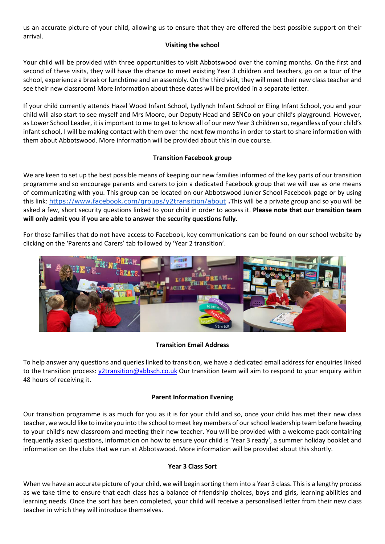us an accurate picture of your child, allowing us to ensure that they are offered the best possible support on their arrival.

#### **Visiting the school**

Your child will be provided with three opportunities to visit Abbotswood over the coming months. On the first and second of these visits, they will have the chance to meet existing Year 3 children and teachers, go on a tour of the school, experience a break or lunchtime and an assembly. On the third visit, they will meet their new class teacher and see their new classroom! More information about these dates will be provided in a separate letter.

If your child currently attends Hazel Wood Infant School, Lydlynch Infant School or Eling Infant School, you and your child will also start to see myself and Mrs Moore, our Deputy Head and SENCo on your child's playground. However, as Lower School Leader, it is important to me to get to know all of our new Year 3 children so, regardless of your child's infant school, I will be making contact with them over the next few months in order to start to share information with them about Abbotswood. More information will be provided about this in due course.

## **Transition Facebook group**

We are keen to set up the best possible means of keeping our new families informed of the key parts of our transition programme and so encourage parents and carers to join a dedicated Facebook group that we will use as one means of communicating with you. This group can be located on our Abbotswood Junior School Facebook page or by using this link: <https://www.facebook.com/groups/y2transition/about> **.**This will be a private group and so you will be asked a few, short security questions linked to your child in order to access it. **Please note that our transition team will only admit you if you are able to answer the security questions fully.** 

For those families that do not have access to Facebook, key communications can be found on our school website by clicking on the 'Parents and Carers' tab followed by 'Year 2 transition'.



#### **Transition Email Address**

To help answer any questions and queries linked to transition, we have a dedicated email address for enquiries linked to the transition process: [y2transition@abbsch.co.uk](mailto:y2transition@abbsch.co.uk) Our transition team will aim to respond to your enquiry within 48 hours of receiving it.

## **Parent Information Evening**

Our transition programme is as much for you as it is for your child and so, once your child has met their new class teacher, we would like to invite you into the school to meet key members of our school leadership team before heading to your child's new classroom and meeting their new teacher. You will be provided with a welcome pack containing frequently asked questions, information on how to ensure your child is 'Year 3 ready', a summer holiday booklet and information on the clubs that we run at Abbotswood. More information will be provided about this shortly.

#### **Year 3 Class Sort**

When we have an accurate picture of your child, we will begin sorting them into a Year 3 class. This is a lengthy process as we take time to ensure that each class has a balance of friendship choices, boys and girls, learning abilities and learning needs. Once the sort has been completed, your child will receive a personalised letter from their new class teacher in which they will introduce themselves.